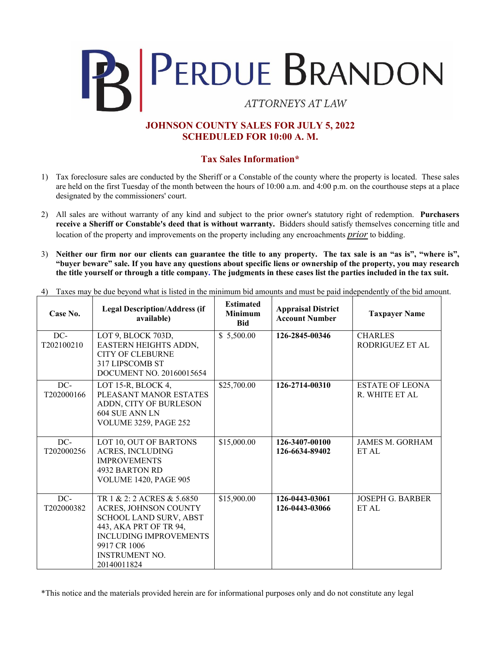

## **JOHNSON COUNTY SALES FOR JULY 5, 2022 SCHEDULED FOR 10:00 A. M.**

## **Tax Sales Information\***

- 1) Tax foreclosure sales are conducted by the Sheriff or a Constable of the county where the property is located. These sales are held on the first Tuesday of the month between the hours of 10:00 a.m. and 4:00 p.m. on the courthouse steps at a place designated by the commissioners' court.
- 2) All sales are without warranty of any kind and subject to the prior owner's statutory right of redemption. **Purchasers receive a Sheriff or Constable's deed that is without warranty.** Bidders should satisfy themselves concerning title and location of the property and improvements on the property including any encroachments *prior* to bidding.
- 3) **Neither our firm nor our clients can guarantee the title to any property. The tax sale is an "as is", "where is", "buyer beware" sale. If you have any questions about specific liens or ownership of the property, you may research the title yourself or through a title company. The judgments in these cases list the parties included in the tax suit.**

|  | 4) Taxes may be due beyond what is listed in the minimum bid amounts and must be paid independently of the bid amount. |  |  |
|--|------------------------------------------------------------------------------------------------------------------------|--|--|
|  |                                                                                                                        |  |  |

| Case No.          | <b>Legal Description/Address (if</b><br>available)                                                                                                                                                      | <b>Estimated</b><br><b>Minimum</b><br><b>Bid</b> | <b>Appraisal District</b><br><b>Account Number</b> | <b>Taxpayer Name</b>                            |
|-------------------|---------------------------------------------------------------------------------------------------------------------------------------------------------------------------------------------------------|--------------------------------------------------|----------------------------------------------------|-------------------------------------------------|
| DC-<br>T202100210 | LOT 9, BLOCK 703D,<br><b>EASTERN HEIGHTS ADDN,</b><br><b>CITY OF CLEBURNE</b><br>317 LIPSCOMB ST<br>DOCUMENT NO. 20160015654                                                                            | \$5,500.00                                       | 126-2845-00346                                     | <b>CHARLES</b><br>RODRIGUEZ ET AL               |
| DC-<br>T202000166 | LOT 15-R, BLOCK 4,<br>PLEASANT MANOR ESTATES<br>ADDN, CITY OF BURLESON<br>604 SUE ANN LN<br><b>VOLUME 3259, PAGE 252</b>                                                                                | \$25,700.00                                      | 126-2714-00310                                     | <b>ESTATE OF LEONA</b><br><b>R. WHITE ET AL</b> |
| DC-<br>T202000256 | LOT 10, OUT OF BARTONS<br><b>ACRES, INCLUDING</b><br><b>IMPROVEMENTS</b><br>4932 BARTON RD<br><b>VOLUME 1420, PAGE 905</b>                                                                              | \$15,000.00                                      | 126-3407-00100<br>126-6634-89402                   | <b>JAMES M. GORHAM</b><br>ET AL                 |
| DC-<br>T202000382 | TR 1 & 2: 2 ACRES & 5.6850<br><b>ACRES, JOHNSON COUNTY</b><br>SCHOOL LAND SURV, ABST<br>443, AKA PRT OF TR 94,<br><b>INCLUDING IMPROVEMENTS</b><br>9917 CR 1006<br><b>INSTRUMENT NO.</b><br>20140011824 | \$15,900.00                                      | 126-0443-03061<br>126-0443-03066                   | <b>JOSEPH G. BARBER</b><br>ET AL                |

\*This notice and the materials provided herein are for informational purposes only and do not constitute any legal